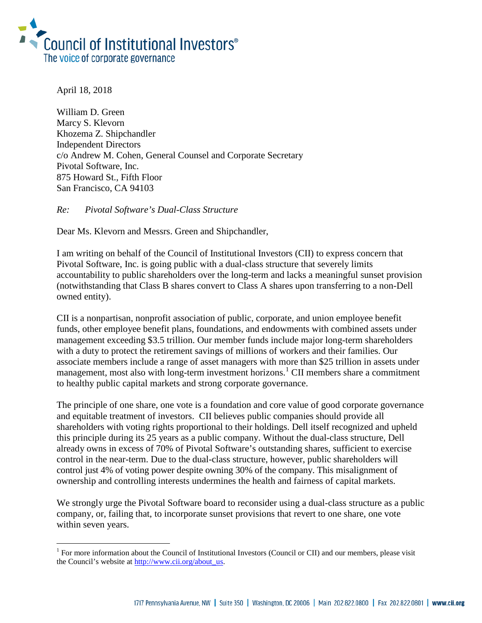

April 18, 2018

i<br>I

William D. Green Marcy S. Klevorn Khozema Z. Shipchandler Independent Directors c/o Andrew M. Cohen, General Counsel and Corporate Secretary Pivotal Software, Inc. 875 Howard St., Fifth Floor San Francisco, CA 94103

*Re: Pivotal Software's Dual-Class Structure*

Dear Ms. Klevorn and Messrs. Green and Shipchandler,

I am writing on behalf of the Council of Institutional Investors (CII) to express concern that Pivotal Software, Inc. is going public with a dual-class structure that severely limits accountability to public shareholders over the long-term and lacks a meaningful sunset provision (notwithstanding that Class B shares convert to Class A shares upon transferring to a non-Dell owned entity).

CII is a nonpartisan, nonprofit association of public, corporate, and union employee benefit funds, other employee benefit plans, foundations, and endowments with combined assets under management exceeding \$3.5 trillion. Our member funds include major long-term shareholders with a duty to protect the retirement savings of millions of workers and their families. Our associate members include a range of asset managers with more than \$25 trillion in assets under management, most also with long-term investment horizons.<sup>[1](#page-0-0)</sup> CII members share a commitment to healthy public capital markets and strong corporate governance.

The principle of one share, one vote is a foundation and core value of good corporate governance and equitable treatment of investors. CII believes public companies should provide all shareholders with voting rights proportional to their holdings. Dell itself recognized and upheld this principle during its 25 years as a public company. Without the dual-class structure, Dell already owns in excess of 70% of Pivotal Software's outstanding shares, sufficient to exercise control in the near-term. Due to the dual-class structure, however, public shareholders will control just 4% of voting power despite owning 30% of the company. This misalignment of ownership and controlling interests undermines the health and fairness of capital markets.

We strongly urge the Pivotal Software board to reconsider using a dual-class structure as a public company, or, failing that, to incorporate sunset provisions that revert to one share, one vote within seven years.

<span id="page-0-0"></span> $1$  For more information about the Council of Institutional Investors (Council or CII) and our members, please visit the Council's website at [http://www.cii.org/about\\_us.](http://www.cii.org/about_us)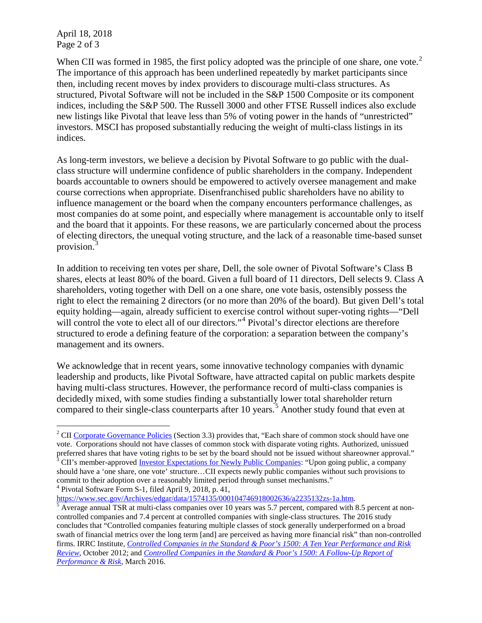April 18, 2018 Page 2 of 3

When CII was formed in 1985, the first policy adopted was the principle of one share, one vote.<sup>[2](#page-1-0)</sup> The importance of this approach has been underlined repeatedly by market participants since then, including recent moves by index providers to discourage multi-class structures. As structured, Pivotal Software will not be included in the S&P 1500 Composite or its component indices, including the S&P 500. The Russell 3000 and other FTSE Russell indices also exclude new listings like Pivotal that leave less than 5% of voting power in the hands of "unrestricted" investors. MSCI has proposed substantially reducing the weight of multi-class listings in its indices.

As long-term investors, we believe a decision by Pivotal Software to go public with the dualclass structure will undermine confidence of public shareholders in the company. Independent boards accountable to owners should be empowered to actively oversee management and make course corrections when appropriate. Disenfranchised public shareholders have no ability to influence management or the board when the company encounters performance challenges, as most companies do at some point, and especially where management is accountable only to itself and the board that it appoints. For these reasons, we are particularly concerned about the process of electing directors, the unequal voting structure, and the lack of a reasonable time-based sunset provision.[3](#page-1-1)

In addition to receiving ten votes per share, Dell, the sole owner of Pivotal Software's Class B shares, elects at least 80% of the board. Given a full board of 11 directors, Dell selects 9. Class A shareholders, voting together with Dell on a one share, one vote basis, ostensibly possess the right to elect the remaining 2 directors (or no more than 20% of the board). But given Dell's total equity holding—again, already sufficient to exercise control without super-voting rights—"Dell will control the vote to elect all of our directors."<sup>[4](#page-1-2)</sup> Pivotal's director elections are therefore structured to erode a defining feature of the corporation: a separation between the company's management and its owners.

We acknowledge that in recent years, some innovative technology companies with dynamic leadership and products, like Pivotal Software, have attracted capital on public markets despite having multi-class structures. However, the performance record of multi-class companies is decidedly mixed, with some studies finding a substantially lower total shareholder return compared to their single-class counterparts after 10 years. [5](#page-1-3) Another study found that even at

<span id="page-1-2"></span><sup>4</sup> Pivotal Software Form S-1, filed April 9, 2018, p.  $41$ ,<br>https://www.sec.gov/Archives/edgar/data/1574135/000104746918002636/a2235132zs-1a.htm.

<span id="page-1-0"></span>i <sup>2</sup> CI[I Corporate Governance Policies](http://www.cii.org/files/policies/09_30_16_corp_gov_policies.pdf) (Section 3.3) provides that, "Each share of common stock should have one vote. Corporations should not have classes of common stock with disparate voting rights. Authorized, unissued preferred shares that have voting rights to be set by the board should not be issued without shareowner approval." <sup>3</sup> CII's member-approved <u>Investor Expectations for Newly Public Companies</u>: "Upon going public, a company

<span id="page-1-1"></span>should have a 'one share, one vote' structure…CII expects newly public companies without such provisions to commit to their adoption over a reasonably limited period through sunset mechanisms."

<span id="page-1-3"></span> $\frac{1}{5}$  Average annual TSR at multi-class companies over 10 years was 5.7 percent, compared with 8.5 percent at noncontrolled companies and 7.4 percent at controlled companies with single-class structures. The 2016 study concludes that "Controlled companies featuring multiple classes of stock generally underperformed on a broad swath of financial metrics over the long term [and] are perceived as having more financial risk" than non-controlled firms. IRRC Institute, *[Controlled Companies in the Standard & Poor's 1500: A Ten Year Performance and Risk](https://irrcinstitute.org/wp-content/uploads/2015/09/FINAL-Controlled-Company-ISS-Report1.pdf)  [Review](https://irrcinstitute.org/wp-content/uploads/2015/09/FINAL-Controlled-Company-ISS-Report1.pdf)*, October 2012; and *[Controlled Companies in the Standard & Poor's 1500: A Follow-Up Report of](https://irrcinstitute.org/wp-content/uploads/2016/03/Controlled-Companies-IRRCI-2015-FINAL-3-16-16.pdf)  [Performance & Risk](https://irrcinstitute.org/wp-content/uploads/2016/03/Controlled-Companies-IRRCI-2015-FINAL-3-16-16.pdf)*, March 2016.